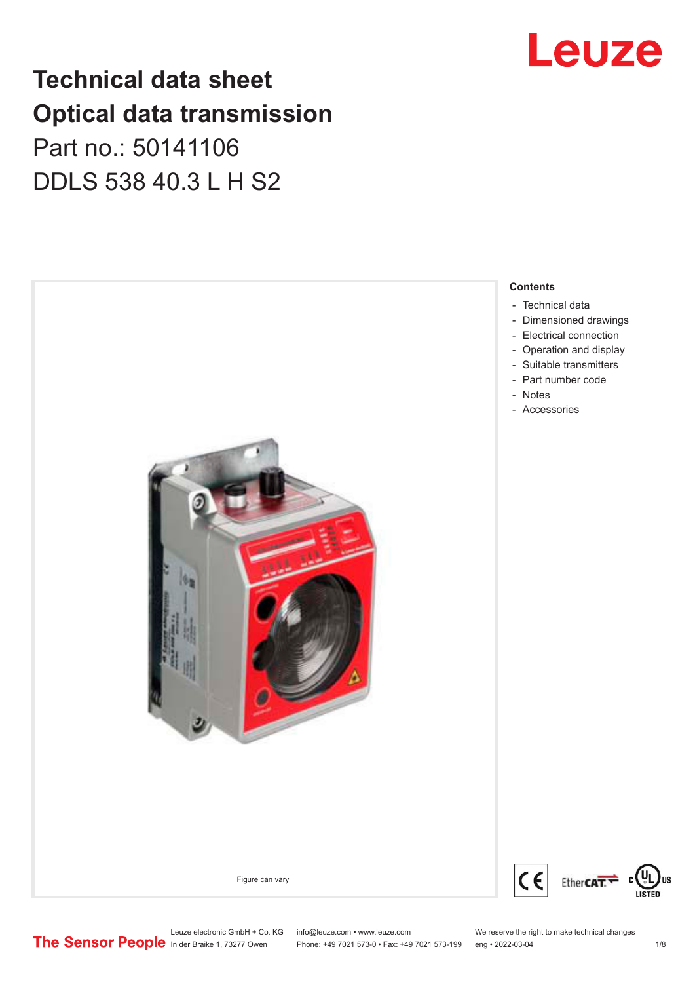## **Technical data sheet Optical data transmission**

Part no.: 50141106 DDLS 538 40.3 L H S2



Leuze

Leuze electronic GmbH + Co. KG info@leuze.com • www.leuze.com We reserve the right to make technical changes<br>
The Sensor People in der Braike 1, 73277 Owen Phone: +49 7021 573-0 • Fax: +49 7021 573-199 eng • 2022-03-04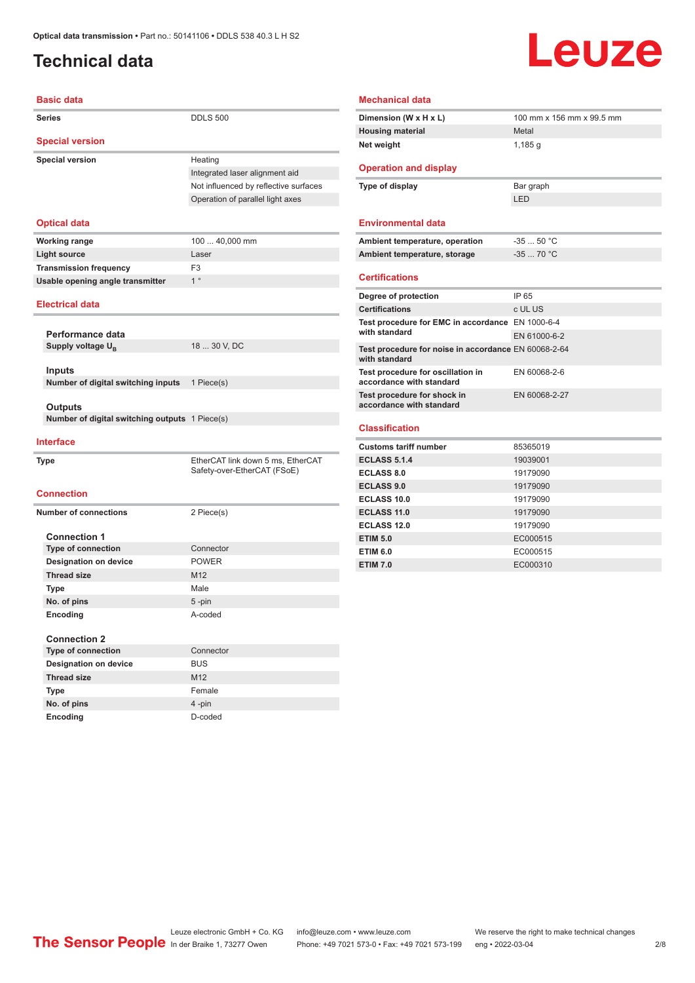## <span id="page-1-0"></span>**Technical data**

# Leuze

| <b>Basic data</b>                              |                                                                  |
|------------------------------------------------|------------------------------------------------------------------|
| <b>Series</b>                                  | <b>DDLS 500</b>                                                  |
| <b>Special version</b>                         |                                                                  |
| <b>Special version</b>                         | Heating                                                          |
|                                                | Integrated laser alignment aid                                   |
|                                                | Not influenced by reflective surfaces                            |
|                                                | Operation of parallel light axes                                 |
| <b>Optical data</b>                            |                                                                  |
| <b>Working range</b>                           | 100  40,000 mm                                                   |
| <b>Light source</b>                            | Laser                                                            |
| <b>Transmission frequency</b>                  | F3                                                               |
| Usable opening angle transmitter               | 1 <sup>°</sup>                                                   |
| <b>Electrical data</b>                         |                                                                  |
| Performance data                               |                                                                  |
| Supply voltage U <sub>R</sub>                  | 18  30 V, DC                                                     |
| <b>Inputs</b>                                  |                                                                  |
| Number of digital switching inputs             | 1 Piece(s)                                                       |
|                                                |                                                                  |
| Outputs                                        |                                                                  |
| Number of digital switching outputs 1 Piece(s) |                                                                  |
| <b>Interface</b>                               |                                                                  |
| <b>Type</b>                                    | EtherCAT link down 5 ms, EtherCAT<br>Safety-over-EtherCAT (FSoE) |
| <b>Connection</b>                              |                                                                  |
| <b>Number of connections</b>                   | 2 Piece(s)                                                       |
| <b>Connection 1</b>                            |                                                                  |
| <b>Type of connection</b>                      | Connector                                                        |
| <b>Designation on device</b>                   | <b>POWER</b>                                                     |
| <b>Thread size</b>                             | M12                                                              |
| <b>Type</b>                                    | Male                                                             |
| No. of pins                                    | 5-pin                                                            |
| Encoding                                       | A-coded                                                          |
| <b>Connection 2</b>                            |                                                                  |
| <b>Type of connection</b>                      | Connector                                                        |
| <b>Designation on device</b>                   | <b>BUS</b>                                                       |
| <b>Thread size</b>                             | M12                                                              |
| Type                                           | Female                                                           |

#### **Mechanical data**

| Dimension (W x H x L)                                                 | 100 mm x 156 mm x 99.5 mm |
|-----------------------------------------------------------------------|---------------------------|
| <b>Housing material</b>                                               | Metal                     |
| Net weight                                                            | 1,185q                    |
|                                                                       |                           |
| <b>Operation and display</b>                                          |                           |
| Type of display                                                       | Bar graph                 |
|                                                                       | I FD                      |
|                                                                       |                           |
| <b>Environmental data</b>                                             |                           |
| Ambient temperature, operation                                        | $-3550 °C$                |
| Ambient temperature, storage                                          | $-3570 °C$                |
|                                                                       |                           |
| <b>Certifications</b>                                                 |                           |
| Degree of protection                                                  | IP 65                     |
| <b>Certifications</b>                                                 | c UL US                   |
| Test procedure for EMC in accordance EN 1000-6-4                      |                           |
| with standard                                                         | EN 61000-6-2              |
| Test procedure for noise in accordance EN 60068-2-64<br>with standard |                           |
| Test procedure for oscillation in<br>accordance with standard         | EN 60068-2-6              |
| Test procedure for shock in<br>accordance with standard               | EN 60068-2-27             |
| <b>Classification</b>                                                 |                           |
|                                                                       |                           |
| <b>Customs tariff number</b>                                          | 85365019                  |
| <b>ECLASS 5.1.4</b>                                                   | 19039001                  |
| <b>ECLASS 8.0</b>                                                     | 19179090                  |
| <b>ECLASS 9.0</b>                                                     | 19179090                  |
| ECLASS 10.0                                                           | 19179090                  |
| <b>ECLASS 11.0</b>                                                    | 19179090                  |
| ECLASS 12.0                                                           | 19179090                  |

**ETIM 5.0** EC000515 **ETIM 6.0** EC000515 **ETIM 7.0** EC000310

Leuze electronic GmbH + Co. KG info@leuze.com • www.leuze.com We reserve the right to make technical changes<br>
The Sensor People in der Braike 1, 73277 Owen Phone: +49 7021 573-0 • Fax: +49 7021 573-199 eng • 2022-03-04

**No. of pins** 4 -pin **Encoding** D-coded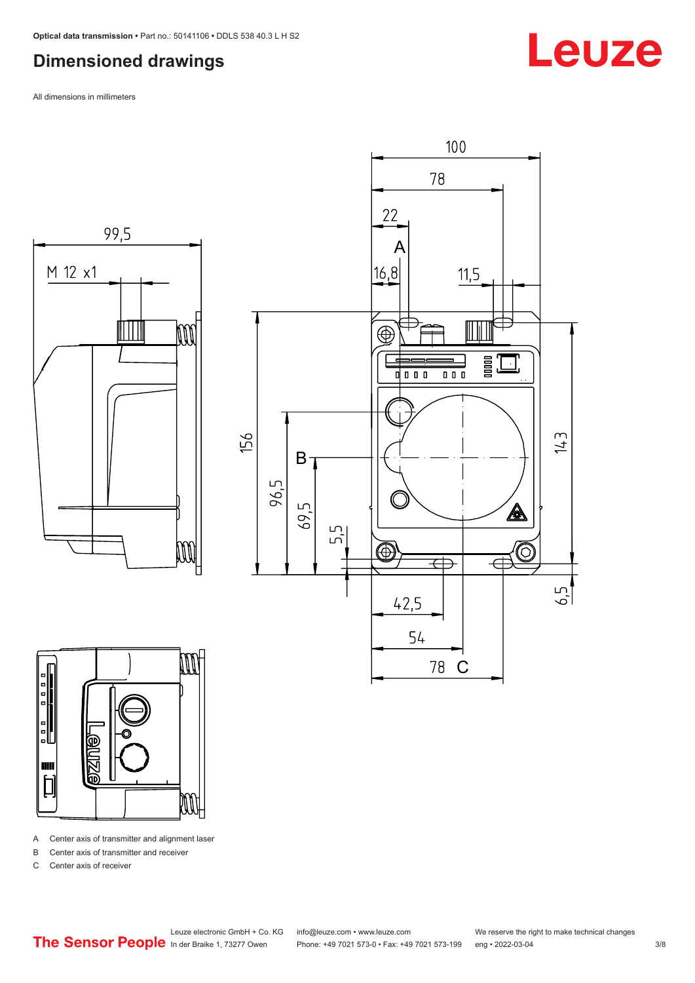#### <span id="page-2-0"></span>**Dimensioned drawings**

All dimensions in millimeters







A Center axis of transmitter and alignment laser

B Center axis of transmitter and receiver

C Center axis of receiver

Leuze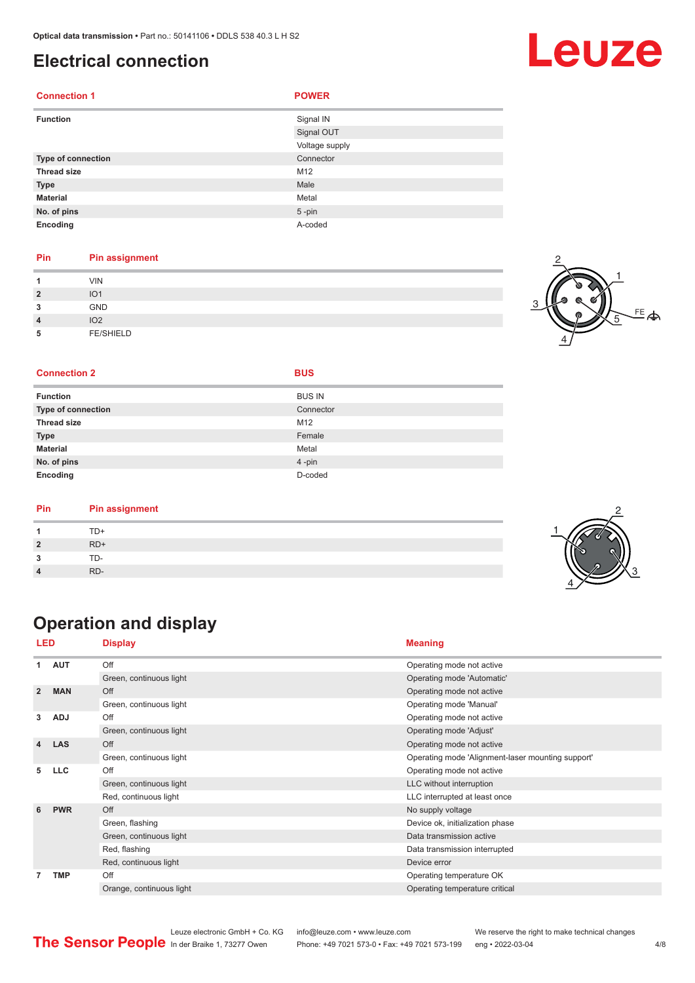#### <span id="page-3-0"></span>**Electrical connection**

| <b>Connection 1</b>       | <b>POWER</b>   |
|---------------------------|----------------|
| <b>Function</b>           | Signal IN      |
|                           | Signal OUT     |
|                           | Voltage supply |
| <b>Type of connection</b> | Connector      |
| <b>Thread size</b>        | M12            |
| <b>Type</b>               | Male           |
| <b>Material</b>           | Metal          |
| No. of pins               | $5 - pin$      |
| Encoding                  | A-coded        |

#### **Pin Pin assignment**

| и                       | <b>VIN</b>       |  |
|-------------------------|------------------|--|
| $\overline{\mathbf{2}}$ | IO <sub>1</sub>  |  |
| 3                       | GND              |  |
| $\overline{4}$          | IO <sub>2</sub>  |  |
| 5                       | <b>FE/SHIELD</b> |  |

#### $FE$  $\Leftrightarrow$ 1 2 4 5

#### **Connection 2 BUS**

| - - - - - - - - - - - - - - | _____         |
|-----------------------------|---------------|
| <b>Function</b>             | <b>BUS IN</b> |
| Type of connection          | Connector     |
| <b>Thread size</b>          | M12           |
| <b>Type</b>                 | Female        |
| Material                    | Metal         |
| No. of pins                 | $4 - pin$     |
| Encoding                    | D-coded       |

| Pin | <b>Pin assignment</b> |  |
|-----|-----------------------|--|
|     | TD+                   |  |
|     | $RD+$                 |  |
| ◠   | TD-                   |  |
|     | RD-                   |  |

## **Operation and display**

| LED            |            |                                                                                                                                                                                                                                                                                                                                                                                                                                                                                                                                                                                                                                                                                                                                           |                                                   |  |
|----------------|------------|-------------------------------------------------------------------------------------------------------------------------------------------------------------------------------------------------------------------------------------------------------------------------------------------------------------------------------------------------------------------------------------------------------------------------------------------------------------------------------------------------------------------------------------------------------------------------------------------------------------------------------------------------------------------------------------------------------------------------------------------|---------------------------------------------------|--|
| 1.             | <b>AUT</b> | Off                                                                                                                                                                                                                                                                                                                                                                                                                                                                                                                                                                                                                                                                                                                                       | Operating mode not active                         |  |
|                |            | Green, continuous light                                                                                                                                                                                                                                                                                                                                                                                                                                                                                                                                                                                                                                                                                                                   | Operating mode 'Automatic'                        |  |
| $\overline{2}$ | <b>MAN</b> | Off                                                                                                                                                                                                                                                                                                                                                                                                                                                                                                                                                                                                                                                                                                                                       | Operating mode not active                         |  |
|                |            | <b>Meaning</b><br><b>Display</b><br>Green, continuous light<br>Operating mode 'Manual'<br>Off<br>Operating mode not active<br>Green, continuous light<br>Operating mode 'Adjust'<br>Off<br>Operating mode not active<br>Green, continuous light<br>Off<br>Operating mode not active<br>Green, continuous light<br>LLC without interruption<br>Red, continuous light<br>LLC interrupted at least once<br>Off<br>No supply voltage<br>Green, flashing<br>Device ok, initialization phase<br>Green, continuous light<br>Data transmission active<br>Red, flashing<br>Data transmission interrupted<br>Red, continuous light<br>Device error<br>Off<br>Operating temperature OK<br>Orange, continuous light<br>Operating temperature critical |                                                   |  |
| 3              | <b>ADJ</b> |                                                                                                                                                                                                                                                                                                                                                                                                                                                                                                                                                                                                                                                                                                                                           |                                                   |  |
|                |            |                                                                                                                                                                                                                                                                                                                                                                                                                                                                                                                                                                                                                                                                                                                                           |                                                   |  |
| 4              | <b>LAS</b> |                                                                                                                                                                                                                                                                                                                                                                                                                                                                                                                                                                                                                                                                                                                                           |                                                   |  |
|                |            |                                                                                                                                                                                                                                                                                                                                                                                                                                                                                                                                                                                                                                                                                                                                           | Operating mode 'Alignment-laser mounting support' |  |
| 5              | <b>LLC</b> |                                                                                                                                                                                                                                                                                                                                                                                                                                                                                                                                                                                                                                                                                                                                           |                                                   |  |
|                |            |                                                                                                                                                                                                                                                                                                                                                                                                                                                                                                                                                                                                                                                                                                                                           |                                                   |  |
|                |            |                                                                                                                                                                                                                                                                                                                                                                                                                                                                                                                                                                                                                                                                                                                                           |                                                   |  |
| 6              | <b>PWR</b> |                                                                                                                                                                                                                                                                                                                                                                                                                                                                                                                                                                                                                                                                                                                                           |                                                   |  |
|                |            |                                                                                                                                                                                                                                                                                                                                                                                                                                                                                                                                                                                                                                                                                                                                           |                                                   |  |
|                |            |                                                                                                                                                                                                                                                                                                                                                                                                                                                                                                                                                                                                                                                                                                                                           |                                                   |  |
|                |            |                                                                                                                                                                                                                                                                                                                                                                                                                                                                                                                                                                                                                                                                                                                                           |                                                   |  |
|                |            |                                                                                                                                                                                                                                                                                                                                                                                                                                                                                                                                                                                                                                                                                                                                           |                                                   |  |
| 7              | <b>TMP</b> |                                                                                                                                                                                                                                                                                                                                                                                                                                                                                                                                                                                                                                                                                                                                           |                                                   |  |
|                |            |                                                                                                                                                                                                                                                                                                                                                                                                                                                                                                                                                                                                                                                                                                                                           |                                                   |  |
|                |            |                                                                                                                                                                                                                                                                                                                                                                                                                                                                                                                                                                                                                                                                                                                                           |                                                   |  |





Leuze electronic GmbH + Co. KG info@leuze.com • www.leuze.com We reserve the right to make technical changes<br>
The Sensor People in der Braike 1, 73277 Owen Phone: +49 7021 573-0 • Fax: +49 7021 573-199 eng • 2022-03-04 Phone: +49 7021 573-0 • Fax: +49 7021 573-199 eng • 2022-03-04 **4/8**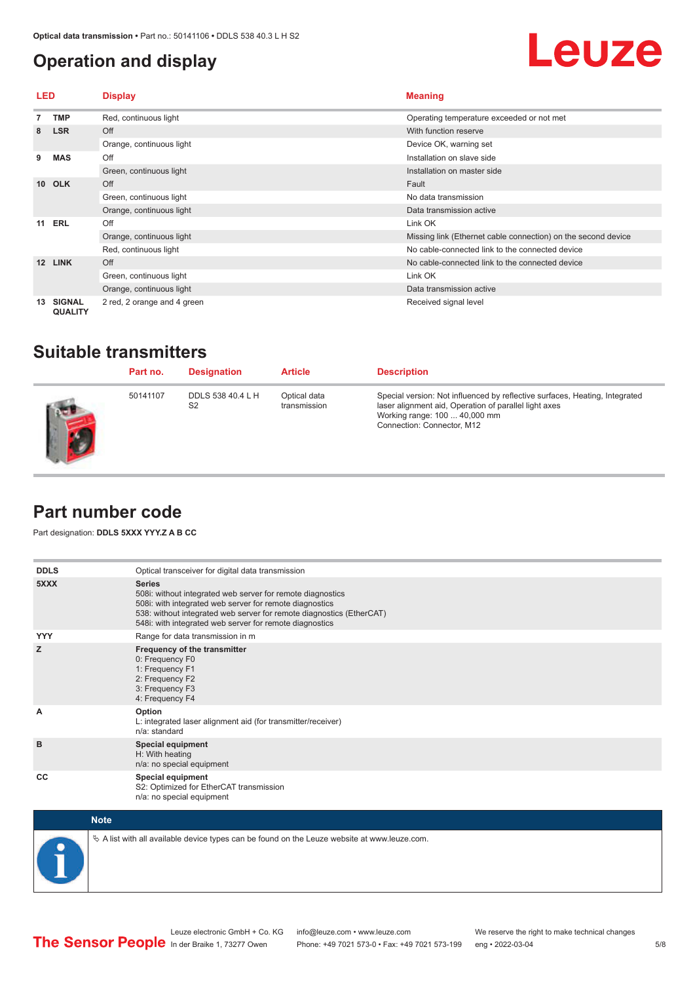#### <span id="page-4-0"></span>**Operation and display**



| <b>LED</b>      |                                 | <b>Display</b>              | <b>Meaning</b>                                                |  |
|-----------------|---------------------------------|-----------------------------|---------------------------------------------------------------|--|
|                 | <b>TMP</b>                      | Red, continuous light       | Operating temperature exceeded or not met                     |  |
| 8               | <b>LSR</b>                      | Off                         | With function reserve                                         |  |
|                 |                                 | Orange, continuous light    | Device OK, warning set                                        |  |
| 9               | <b>MAS</b>                      | Off                         | Installation on slave side                                    |  |
|                 |                                 | Green, continuous light     | Installation on master side                                   |  |
| 10 <sup>1</sup> | <b>OLK</b>                      | Off                         | Fault                                                         |  |
|                 |                                 | Green, continuous light     | No data transmission                                          |  |
|                 |                                 | Orange, continuous light    | Data transmission active                                      |  |
| 11              | <b>ERL</b>                      | Off                         | Link OK                                                       |  |
|                 |                                 | Orange, continuous light    | Missing link (Ethernet cable connection) on the second device |  |
|                 |                                 | Red, continuous light       | No cable-connected link to the connected device               |  |
| 12              | <b>LINK</b>                     | Off                         | No cable-connected link to the connected device               |  |
|                 |                                 | Green, continuous light     | Link OK                                                       |  |
|                 |                                 | Orange, continuous light    | Data transmission active                                      |  |
| 13              | <b>SIGNAL</b><br><b>QUALITY</b> | 2 red, 2 orange and 4 green | Received signal level                                         |  |

#### **Suitable transmitters**

| Part no. | <b>Designation</b>                  | <b>Article</b>               | <b>Description</b>                                                                                                                                                                                  |
|----------|-------------------------------------|------------------------------|-----------------------------------------------------------------------------------------------------------------------------------------------------------------------------------------------------|
| 50141107 | DDLS 538 40.4 L H<br>S <sub>2</sub> | Optical data<br>transmission | Special version: Not influenced by reflective surfaces, Heating, Integrated<br>laser alignment aid, Operation of parallel light axes<br>Working range: 100  40,000 mm<br>Connection: Connector, M12 |

#### **Part number code**

Part designation: **DDLS 5XXX YYY.Z A B CC**

| <b>DDLS</b> | Optical transceiver for digital data transmission                                                                                                                                                                                                                         |
|-------------|---------------------------------------------------------------------------------------------------------------------------------------------------------------------------------------------------------------------------------------------------------------------------|
| 5XXX        | <b>Series</b><br>508i: without integrated web server for remote diagnostics<br>508i: with integrated web server for remote diagnostics<br>538: without integrated web server for remote diagnostics (EtherCAT)<br>548i: with integrated web server for remote diagnostics |
| <b>YYY</b>  | Range for data transmission in m                                                                                                                                                                                                                                          |
| z           | Frequency of the transmitter<br>0: Frequency F0<br>1: Frequency F1<br>2: Frequency F2<br>3: Frequency F3<br>4: Frequency F4                                                                                                                                               |
| A           | Option<br>L: integrated laser alignment aid (for transmitter/receiver)<br>n/a: standard                                                                                                                                                                                   |
| B           | <b>Special equipment</b><br>H: With heating<br>n/a: no special equipment                                                                                                                                                                                                  |
| CC          | <b>Special equipment</b><br>S2: Optimized for EtherCAT transmission<br>n/a: no special equipment                                                                                                                                                                          |



 $\&$  A list with all available device types can be found on the Leuze website at www.leuze.com.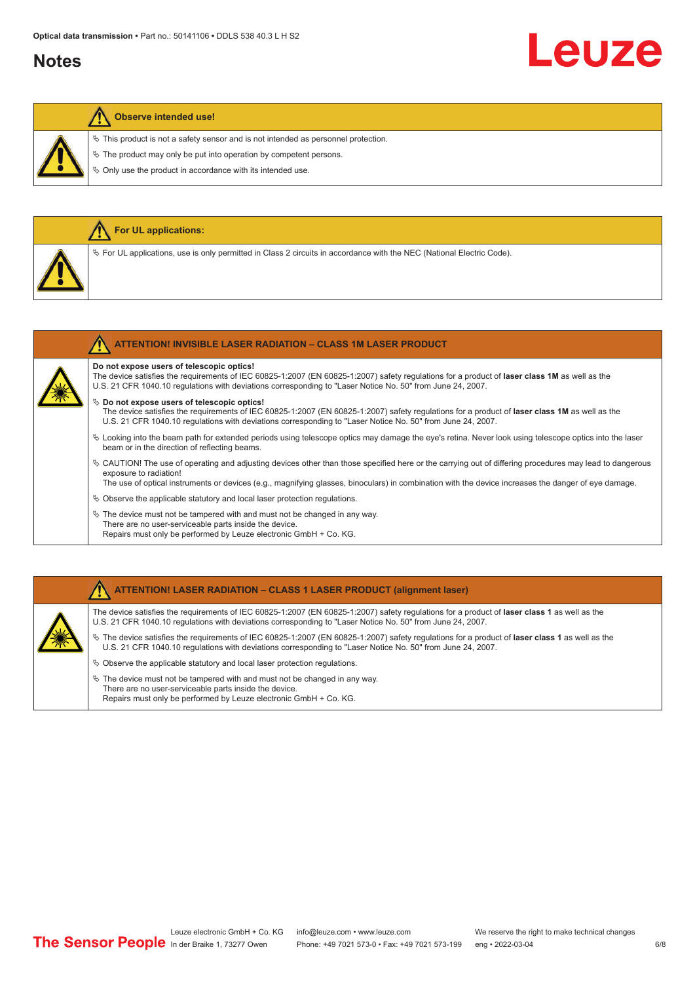#### **Notes**

# Leuze

#### **Observe intended use!**

**For UL applications:**

 $\ddot{\phi}$  This product is not a safety sensor and is not intended as personnel protection.

 $\&$  The product may only be put into operation by competent persons.

 $\%$  Only use the product in accordance with its intended use.

| $\%$ For UL applications, use is only permitted in Class 2 circuits in accordance with the NEC (National Electric Code).                                                                                                                                                                                      |
|---------------------------------------------------------------------------------------------------------------------------------------------------------------------------------------------------------------------------------------------------------------------------------------------------------------|
| <b>ATTENTION! INVISIBLE LASER RADIATION - CLASS 1M LASER PRODUCT</b>                                                                                                                                                                                                                                          |
| Do not expose users of telescopic optics!<br>The device satisfies the requirements of IEC 60825-1:2007 (EN 60825-1:2007) safety requlations for a product of laser class 1M as well as the<br>U.S. 21 CFR 1040.10 regulations with deviations corresponding to "Laser Notice No. 50" from June 24, 2007.      |
| $\&$ Do not expose users of telescopic optics!<br>The device satisfies the requirements of IEC 60825-1:2007 (EN 60825-1:2007) safety requlations for a product of laser class 1M as well as the<br>U.S. 21 CFR 1040.10 regulations with deviations corresponding to "Laser Notice No. 50" from June 24, 2007. |
|                                                                                                                                                                                                                                                                                                               |

- ª Looking into the beam path for extended periods using telescope optics may damage the eye's retina. Never look using telescope optics into the laser beam or in the direction of reflecting beams.
- ª CAUTION! The use of operating and adjusting devices other than those specified here or the carrying out of differing procedures may lead to dangerous exposure to radiation!

The use of optical instruments or devices (e.g., magnifying glasses, binoculars) in combination with the device increases the danger of eye damage.

- $\&$  Observe the applicable statutory and local laser protection regulations.
- $\%$  The device must not be tampered with and must not be changed in any way. There are no user-serviceable parts inside the device. Repairs must only be performed by Leuze electronic GmbH + Co. KG.

#### **ATTENTION! LASER RADIATION – CLASS 1 LASER PRODUCT (alignment laser)**

The device satisfies the requirements of IEC 60825-1:2007 (EN 60825-1:2007) safety regulations for a product of **laser class 1** as well as the U.S. 21 CFR 1040.10 regulations with deviations corresponding to "Laser Notice No. 50" from June 24, 2007.

- ª The device satisfies the requirements of IEC 60825-1:2007 (EN 60825-1:2007) safety regulations for a product of **laser class 1** as well as the U.S. 21 CFR 1040.10 regulations with deviations corresponding to "Laser Notice No. 50" from June 24, 2007.
- $\%$  Observe the applicable statutory and local laser protection regulations.
- $\ddot{\phi}$  The device must not be tampered with and must not be changed in any way. There are no user-serviceable parts inside the device. Repairs must only be performed by Leuze electronic GmbH + Co. KG.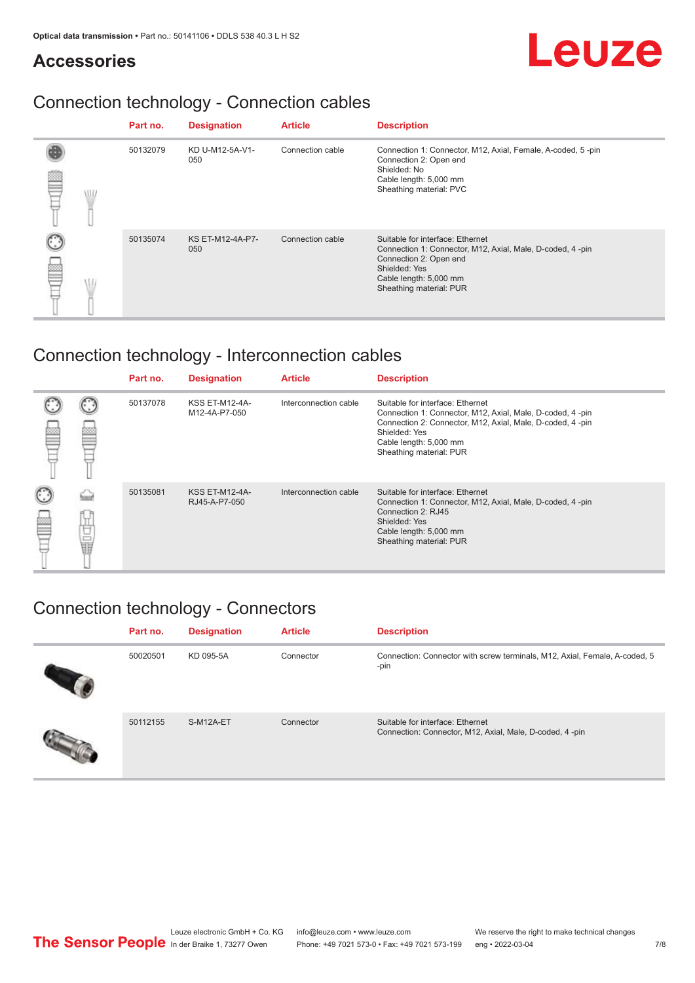#### **Accessories**

## Connection technology - Connection cables

|            | Part no. | <b>Designation</b>      | <b>Article</b>   | <b>Description</b>                                                                                                                                                                            |
|------------|----------|-------------------------|------------------|-----------------------------------------------------------------------------------------------------------------------------------------------------------------------------------------------|
| <b>ALL</b> | 50132079 | KD U-M12-5A-V1-<br>050  | Connection cable | Connection 1: Connector, M12, Axial, Female, A-coded, 5-pin<br>Connection 2: Open end<br>Shielded: No<br>Cable length: 5,000 mm<br>Sheathing material: PVC                                    |
|            | 50135074 | KS ET-M12-4A-P7-<br>050 | Connection cable | Suitable for interface: Ethernet<br>Connection 1: Connector, M12, Axial, Male, D-coded, 4-pin<br>Connection 2: Open end<br>Shielded: Yes<br>Cable length: 5,000 mm<br>Sheathing material: PUR |

## Connection technology - Interconnection cables

|        |   | Part no. | <b>Designation</b>                     | <b>Article</b>        | <b>Description</b>                                                                                                                                                                                                               |
|--------|---|----------|----------------------------------------|-----------------------|----------------------------------------------------------------------------------------------------------------------------------------------------------------------------------------------------------------------------------|
|        |   | 50137078 | <b>KSS ET-M12-4A-</b><br>M12-4A-P7-050 | Interconnection cable | Suitable for interface: Ethernet<br>Connection 1: Connector, M12, Axial, Male, D-coded, 4-pin<br>Connection 2: Connector, M12, Axial, Male, D-coded, 4-pin<br>Shielded: Yes<br>Cable length: 5,000 mm<br>Sheathing material: PUR |
| C<br>丝 | Ö | 50135081 | <b>KSS ET-M12-4A-</b><br>RJ45-A-P7-050 | Interconnection cable | Suitable for interface: Ethernet<br>Connection 1: Connector, M12, Axial, Male, D-coded, 4-pin<br>Connection 2: RJ45<br>Shielded: Yes<br>Cable length: 5,000 mm<br>Sheathing material: PUR                                        |

## Connection technology - Connectors

| Part no. | <b>Designation</b> | <b>Article</b> | <b>Description</b>                                                                          |
|----------|--------------------|----------------|---------------------------------------------------------------------------------------------|
| 50020501 | KD 095-5A          | Connector      | Connection: Connector with screw terminals, M12, Axial, Female, A-coded, 5<br>-pin          |
| 50112155 | S-M12A-ET          | Connector      | Suitable for interface: Ethernet<br>Connection: Connector, M12, Axial, Male, D-coded, 4-pin |

Leuze